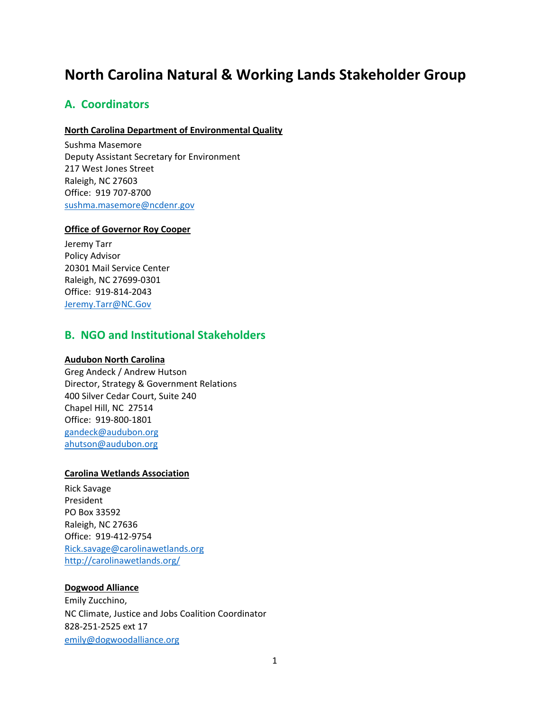# **North Carolina Natural & Working Lands Stakeholder Group**

## **A. Coordinators**

#### **North Carolina Department of Environmental Quality**

Sushma Masemore Deputy Assistant Secretary for Environment 217 West Jones Street Raleigh, NC 27603 Office: 919 707-8700 [sushma.masemore@ncdenr.gov](mailto:sushma.masemore@ncdenr.gov)

#### **Office of Governor Roy Cooper**

Jeremy Tarr Policy Advisor 20301 Mail Service Center Raleigh, NC 27699-0301 Office: 919-814-2043 [Jeremy.Tarr@NC.Gov](mailto:Jeremy.Tarr@NC.Gov)

## **B. NGO and Institutional Stakeholders**

#### **Audubon North Carolina**

Greg Andeck / Andrew Hutson Director, Strategy & Government Relations 400 Silver Cedar Court, Suite 240 Chapel Hill, NC 27514 Office: 919-800-1801 [gandeck@audubon.org](mailto:gandeck@audubon.org) [ahutson@audubon.org](mailto:ahutson@audubon.org)

#### **Carolina Wetlands Association**

Rick Savage President PO Box 33592 Raleigh, NC 27636 Office: 919-412-9754 [Rick.savage@carolinawetlands.org](mailto:Rick.savage@carolinawetlands.org) <http://carolinawetlands.org/>

## **Dogwood Alliance**

Emily Zucchino, NC Climate, Justice and Jobs Coalition Coordinator 828-251-2525 ext 17 [emily@dogwoodalliance.org](mailto:emily@dogwoodalliance.org)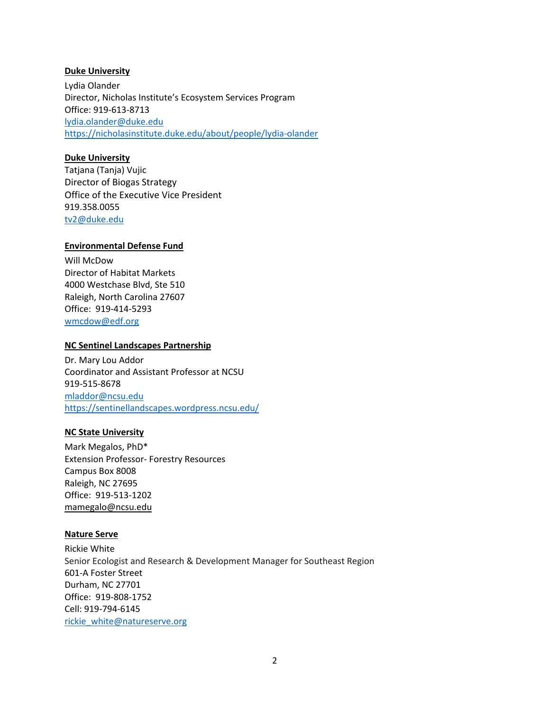#### **Duke University**

Lydia Olander Director, Nicholas Institute's Ecosystem Services Program Office: 919-613-8713 [lydia.olander@duke.edu](mailto:lydia.olander@duke.edu) <https://nicholasinstitute.duke.edu/about/people/lydia-olander>

## **Duke University**

Tatjana (Tanja) Vujic Director of Biogas Strategy Office of the Executive Vice President 919.358.0055 [tv2@duke.edu](mailto:tv2@duke.edu)

## **Environmental Defense Fund**

Will McDow Director of Habitat Markets 4000 Westchase Blvd, Ste 510 Raleigh, North Carolina 27607 Office: 919-414-5293 [wmcdow@edf.org](mailto:wmcdow@edf.org)

#### **NC Sentinel Landscapes Partnership**

Dr. Mary Lou Addor Coordinator and Assistant Professor at NCSU 919-515-8678 [mladdor@ncsu.edu](mailto:mladdor@ncsu.edu) <https://sentinellandscapes.wordpress.ncsu.edu/>

## **NC State University**

Mark Megalos, PhD\* Extension Professor- Forestry Resources Campus Box 8008 Raleigh, NC 27695 Office: 919-513-1202 [mamegalo@ncsu.edu](mailto:mamegalo@ncsu.edu)

#### **Nature Serve**

Rickie White Senior Ecologist and Research & Development Manager for Southeast Region 601-A Foster Street Durham, NC 27701 Office: 919-808-1752 Cell: 919-794-6145 [rickie\\_white@natureserve.org](mailto:rickie_white@natureserve.org)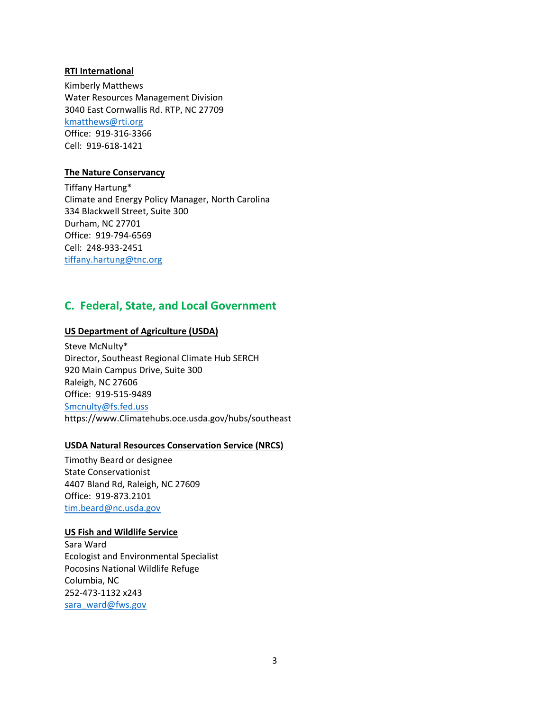#### **RTI International**

Kimberly Matthews Water Resources Management Division 3040 East Cornwallis Rd. RTP, NC 27709 [kmatthews@rti.org](mailto:kmatthews@rti.org) Office: 919-316-3366 Cell: 919-618-1421

#### **The Nature Conservancy**

Tiffany Hartung\* Climate and Energy Policy Manager, North Carolina 334 Blackwell Street, Suite 300 Durham, NC 27701 Office: 919-794-6569 Cell: 248-933-2451 [tiffany.hartung@tnc.org](mailto:tiffany.hartung@tnc.org)

## **C. Federal, State, and Local Government**

#### **US Department of Agriculture (USDA)**

Steve McNulty\* Director, Southeast Regional Climate Hub SERCH 920 Main Campus Drive, Suite 300 Raleigh, NC 27606 Office: 919-515-9489 [Smcnulty@fs.fed.uss](mailto:Smcnulty@fs.fed.uss) [https://www.Climatehubs.oce.usda.gov/hubs/southeast](https://www.climatehubs.oce.usda.gov/hubs/southeast) 

#### **USDA Natural Resources Conservation Service (NRCS)**

Timothy Beard or designee State Conservationist 4407 Bland Rd, Raleigh, NC 27609 Office: 919-873.2101 [tim.beard@nc.usda.gov](mailto:tim.beard@nc.usda.gov)

#### **US Fish and Wildlife Service**

Sara Ward Ecologist and Environmental Specialist Pocosins National Wildlife Refuge Columbia, NC 252-473-1132 x243 [sara\\_ward@fws.gov](mailto:sara_ward@fws.gov)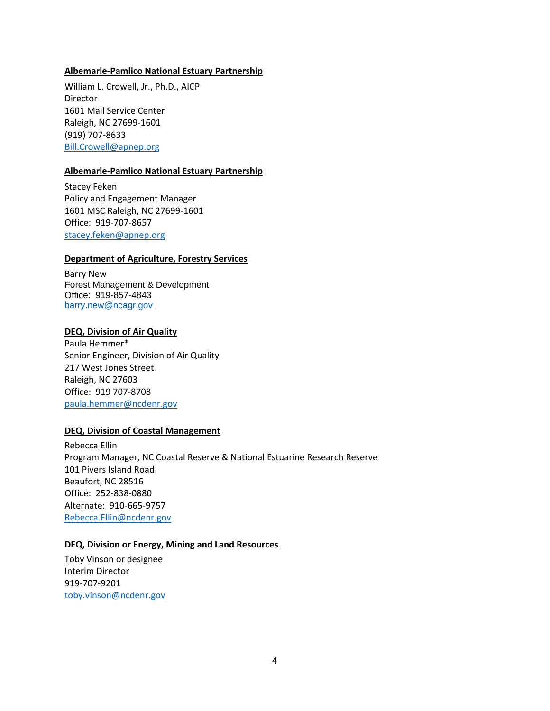#### **Albemarle-Pamlico National Estuary Partnership**

William L. Crowell, Jr., Ph.D., AICP Director 1601 Mail Service Center Raleigh, NC 27699-1601 (919) 707-8633 [Bill.Crowell@apnep.org](mailto:Bill.Crowell@apnep.org) 

#### **Albemarle-Pamlico National Estuary Partnership**

Stacey Feken Policy and Engagement Manager 1601 MSC Raleigh, NC 27699-1601 Office: 919-707-8657 [stacey.feken@apnep.org](mailto:stacey.feken@apnep.org)

#### **Department of Agriculture, Forestry Services**

Barry New Forest Management & Development Office: 919-857-4843 [barry.new@ncagr.gov](mailto:barry.new@ncagr.gov)

#### **DEQ, Division of Air Quality**

Paula Hemmer\* Senior Engineer, Division of Air Quality 217 West Jones Street Raleigh, NC 27603 Office: 919 707-8708 [paula.hemmer@ncdenr.gov](mailto:paula.hemmer@ncdenr.gov)

## **DEQ, Division of Coastal Management**

Rebecca Ellin Program Manager, NC Coastal Reserve & National Estuarine Research Reserve 101 Pivers Island Road Beaufort, NC 28516 Office: 252-838-0880 Alternate: 910-665-9757 [Rebecca.Ellin@ncdenr.gov](mailto:Rebecca.Ellin@ncdenr.gov) 

#### **DEQ, Division or Energy, Mining and Land Resources**

Toby Vinson or designee Interim Director 919-707-9201 [toby.vinson@ncdenr.gov](mailto:toby.vinson@ncdenr.gov)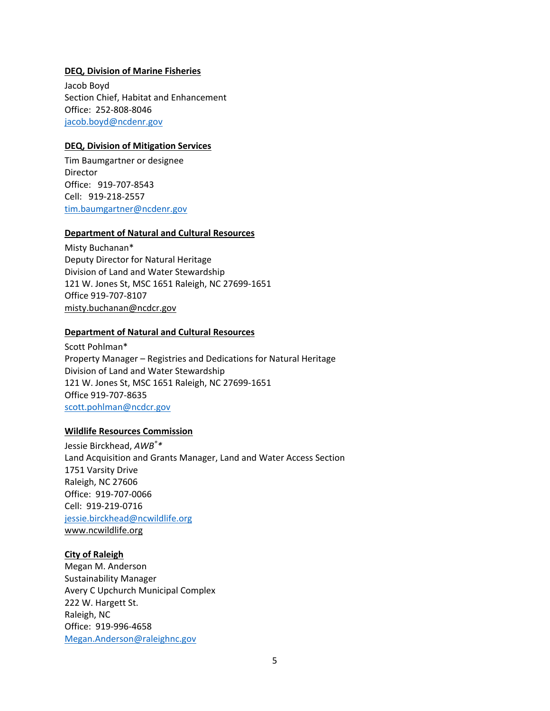#### **DEQ, Division of Marine Fisheries**

Jacob Boyd Section Chief, Habitat and Enhancement Office: 252-808-8046 [jacob.boyd@ncdenr.gov](mailto:jacob.boyd@ncdenr.gov)

#### **DEQ, Division of Mitigation Services**

Tim Baumgartner or designee **Director** Office: 919-707-8543 Cell: 919-218-2557 [tim.baumgartner@ncdenr.gov](mailto:tim.baumgartner@ncdenr.gov)

#### **Department of Natural and Cultural Resources**

Misty Buchanan\* Deputy Director for Natural Heritage Division of Land and Water Stewardship 121 W. Jones St, MSC 1651 Raleigh, NC 27699-1651 Office 919-707-8107 [misty.buchanan@ncdcr.gov](mailto:misty.buchanan@ncdcr.gov)

#### **Department of Natural and Cultural Resources**

Scott Pohlman\* Property Manager – Registries and Dedications for Natural Heritage Division of Land and Water Stewardship 121 W. Jones St, MSC 1651 Raleigh, NC 27699-1651 Office 919-707-8635 [scott.pohlman@ncdcr.gov](mailto:scott.pohlman@ncdcr.gov)

#### **Wildlife Resources Commission**

Jessie Birckhead, *AWB® \** Land Acquisition and Grants Manager, Land and Water Access Section 1751 Varsity Drive Raleigh, NC 27606 Office: 919-707-0066 Cell: 919-219-0716 [jessie.birckhead@ncwildlife.org](mailto:jessie.birckhead@ncwildlife.org) [www.ncwildlife.org](http://www.ncwildlife.org/)

#### **City of Raleigh**

Megan M. Anderson Sustainability Manager Avery C Upchurch Municipal Complex 222 W. Hargett St. Raleigh, NC Office: 919-996-4658 [Megan.Anderson@raleighnc.gov](mailto:Megan.Anderson@raleighnc.gov)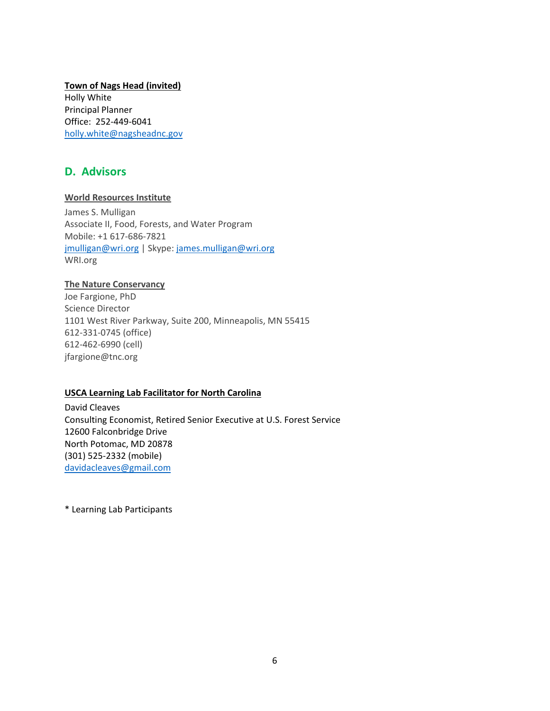## **Town of Nags Head (invited)**

Holly White Principal Planner Office: 252-449-6041 [holly.white@nagsheadnc.gov](mailto:holly.white@nagsheadnc.gov)

# **D. Advisors**

## **World Resources Institute**

James S. Mulligan Associate II, Food, Forests, and Water Program Mobile: +1 617-686-7821 [jmulligan@wri.org](mailto:jmulligan@wri.org) | Skype: [james.mulligan@wri.org](mailto:james.mulligan@wri.org) WRI.org

## **The Nature Conservancy**

Joe Fargione, PhD Science Director 1101 West River Parkway, Suite 200, Minneapolis, MN 55415 612-331-0745 (office) 612-462-6990 (cell) jfargione@tnc.org

## **USCA Learning Lab Facilitator for North Carolina**

David Cleaves Consulting Economist, Retired Senior Executive at U.S. Forest Service 12600 Falconbridge Drive North Potomac, MD 20878 (301) 525-2332 (mobile) [davidacleaves@gmail.com](mailto:davidacleaves@gmail.com)

\* Learning Lab Participants